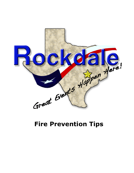

## **Fire Prevention Tips**